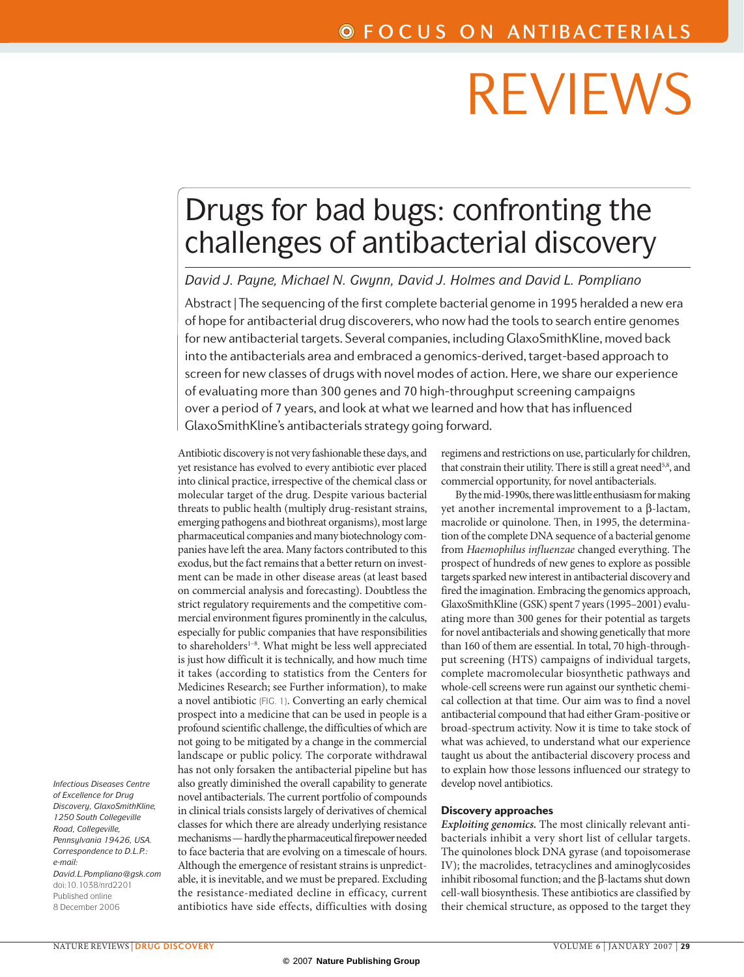# REVIEWS

## Drugs for bad bugs: confronting the challenges of antibacterial discovery

*David J. Payne, Michael N. Gwynn, David J. Holmes and David L. Pompliano*

Abstract | The sequencing of the first complete bacterial genome in 1995 heralded a new era of hope for antibacterial drug discoverers, who now had the tools to search entire genomes for new antibacterial targets. Several companies, including GlaxoSmithKline, moved back into the antibacterials area and embraced a genomics-derived, target-based approach to screen for new classes of drugs with novel modes of action. Here, we share our experience of evaluating more than 300 genes and 70 high-throughput screening campaigns over a period of 7 years, and look at what we learned and how that has influenced GlaxoSmithKline's antibacterials strategy going forward.

Antibiotic discovery is not very fashionable these days, and yet resistance has evolved to every antibiotic ever placed into clinical practice, irrespective of the chemical class or molecular target of the drug. Despite various bacterial threats to public health (multiply drug-resistant strains, emerging pathogens and biothreat organisms), most large pharmaceutical companies and many biotechnology companies have left the area. Many factors contributed to this exodus, but the fact remains that a better return on investment can be made in other disease areas (at least based on commercial analysis and forecasting). Doubtless the strict regulatory requirements and the competitive commercial environment figures prominently in the calculus, especially for public companies that have responsibilities to shareholders<sup>1-8</sup>. What might be less well appreciated is just how difficult it is technically, and how much time it takes (according to statistics from the Centers for Medicines Research; see Further information), to make a novel antibiotic (FIG. 1). Converting an early chemical prospect into a medicine that can be used in people is a profound scientific challenge, the difficulties of which are not going to be mitigated by a change in the commercial landscape or public policy. The corporate withdrawal has not only forsaken the antibacterial pipeline but has also greatly diminished the overall capability to generate novel antibacterials. The current portfolio of compounds in clinical trials consists largely of derivatives of chemical classes for which there are already underlying resistance mechanisms — hardly the pharmaceutical firepower needed to face bacteria that are evolving on a timescale of hours. Although the emergence of resistant strains is unpredictable, it is inevitable, and we must be prepared. Excluding the resistance-mediated decline in efficacy, current antibiotics have side effects, difficulties with dosing

regimens and restrictions on use, particularly for children, that constrain their utility. There is still a great need<sup>5,8</sup>, and commercial opportunity, for novel antibacterials.

By the mid-1990s, there was little enthusiasm for making yet another incremental improvement to a β-lactam, macrolide or quinolone. Then, in 1995, the determination of the complete DNA sequence of a bacterial genome from *Haemophilus influenzae* changed everything. The prospect of hundreds of new genes to explore as possible targets sparked new interest in antibacterial discovery and fired the imagination. Embracing the genomics approach, GlaxoSmithKline (GSK) spent 7 years (1995–2001) evaluating more than 300 genes for their potential as targets for novel antibacterials and showing genetically that more than 160 of them are essential. In total, 70 high-throughput screening (HTS) campaigns of individual targets, complete macromolecular biosynthetic pathways and whole-cell screens were run against our synthetic chemical collection at that time. Our aim was to find a novel antibacterial compound that had either Gram-positive or broad-spectrum activity. Now it is time to take stock of what was achieved, to understand what our experience taught us about the antibacterial discovery process and to explain how those lessons influenced our strategy to develop novel antibiotics.

### Discovery approaches

*Exploiting genomics.* The most clinically relevant antibacterials inhibit a very short list of cellular targets. The quinolones block DNA gyrase (and topoisomerase IV); the macrolides, tetracyclines and aminoglycosides inhibit ribosomal function; and the β-lactams shut down cell-wall biosynthesis. These antibiotics are classified by their chemical structure, as opposed to the target they

*Infectious Diseases Centre of Excellence for Drug Discovery, GlaxoSmithKline, 1250 South Collegeville Road, Collegeville, Pennsylvania 19426, USA. Correspondence to D.L.P.: e-mail: David.L.Pompliano@gsk.com* doi:10.1038/nrd2201 Published online 8 December 2006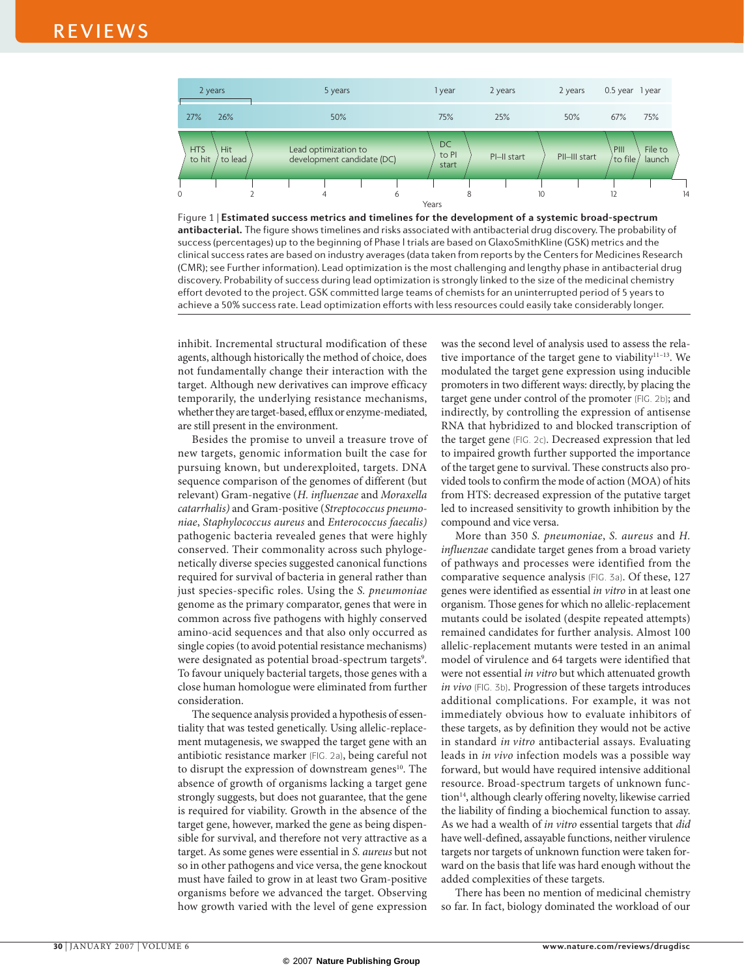

Figure 1 | **Estimated success metrics and timelines for the development of a systemic broad-spectrum antibacterial.** The figure shows timelines and risks associated with antibacterial drug discovery. The probability of success (percentages) up to the beginning of Phase I trials are based on GlaxoSmithKline (GSK) metrics and the clinical success rates are based on industry averages (data taken from reports by the Centers for Medicines Research (CMR); see Further information). Lead optimization is the most challenging and lengthy phase in antibacterial drug discovery. Probability of success during lead optimization is strongly linked to the size of the medicinal chemistry effort devoted to the project. GSK committed large teams of chemists for an uninterrupted period of 5 years to achieve a 50% success rate. Lead optimization efforts with less resources could easily take considerably longer.

inhibit. Incremental structural modification of these agents, although historically the method of choice, does not fundamentally change their interaction with the target. Although new derivatives can improve efficacy temporarily, the underlying resistance mechanisms, whether they are target-based, efflux or enzyme-mediated, are still present in the environment.

Besides the promise to unveil a treasure trove of new targets, genomic information built the case for pursuing known, but underexploited, targets. DNA sequence comparison of the genomes of different (but relevant) Gram-negative (*H. influenzae* and *Moraxella catarrhalis)* and Gram-positive (*Streptococcus pneumoniae*, *Staphylococcus aureus* and *Enterococcus faecalis)*  pathogenic bacteria revealed genes that were highly conserved. Their commonality across such phylogenetically diverse species suggested canonical functions required for survival of bacteria in general rather than just species-specific roles. Using the *S. pneumoniae*  genome as the primary comparator, genes that were in common across five pathogens with highly conserved amino-acid sequences and that also only occurred as single copies (to avoid potential resistance mechanisms) were designated as potential broad-spectrum targets<sup>9</sup>. To favour uniquely bacterial targets, those genes with a close human homologue were eliminated from further consideration.

The sequence analysis provided a hypothesis of essentiality that was tested genetically. Using allelic-replacement mutagenesis, we swapped the target gene with an antibiotic resistance marker (FIG. 2a), being careful not to disrupt the expression of downstream genes<sup>10</sup>. The absence of growth of organisms lacking a target gene strongly suggests, but does not guarantee, that the gene is required for viability. Growth in the absence of the target gene, however, marked the gene as being dispensible for survival, and therefore not very attractive as a target. As some genes were essential in *S. aureus* but not so in other pathogens and vice versa, the gene knockout must have failed to grow in at least two Gram-positive organisms before we advanced the target. Observing how growth varied with the level of gene expression was the second level of analysis used to assess the relative importance of the target gene to viability<sup>11-13</sup>. We modulated the target gene expression using inducible promoters in two different ways: directly, by placing the target gene under control of the promoter (FIG. 2b); and indirectly, by controlling the expression of antisense RNA that hybridized to and blocked transcription of the target gene (FIG. 2c). Decreased expression that led to impaired growth further supported the importance of the target gene to survival. These constructs also provided tools to confirm the mode of action (MOA) of hits from HTS: decreased expression of the putative target led to increased sensitivity to growth inhibition by the compound and vice versa.

More than 350 *S. pneumoniae*, *S. aureus* and *H. influenzae* candidate target genes from a broad variety of pathways and processes were identified from the comparative sequence analysis (FIG. 3a). Of these, 127 genes were identified as essential *in vitro* in at least one organism*.* Those genes for which no allelic-replacement mutants could be isolated (despite repeated attempts) remained candidates for further analysis. Almost 100 allelic-replacement mutants were tested in an animal model of virulence and 64 targets were identified that were not essential *in vitro* but which attenuated growth *in vivo* (FIG. 3b). Progression of these targets introduces additional complications. For example, it was not immediately obvious how to evaluate inhibitors of these targets, as by definition they would not be active in standard *in vitro* antibacterial assays. Evaluating leads in *in vivo* infection models was a possible way forward, but would have required intensive additional resource. Broad-spectrum targets of unknown function<sup>14</sup>, although clearly offering novelty, likewise carried the liability of finding a biochemical function to assay. As we had a wealth of *in vitro* essential targets that *did* have well-defined, assayable functions, neither virulence targets nor targets of unknown function were taken forward on the basis that life was hard enough without the added complexities of these targets.

There has been no mention of medicinal chemistry so far. In fact, biology dominated the workload of our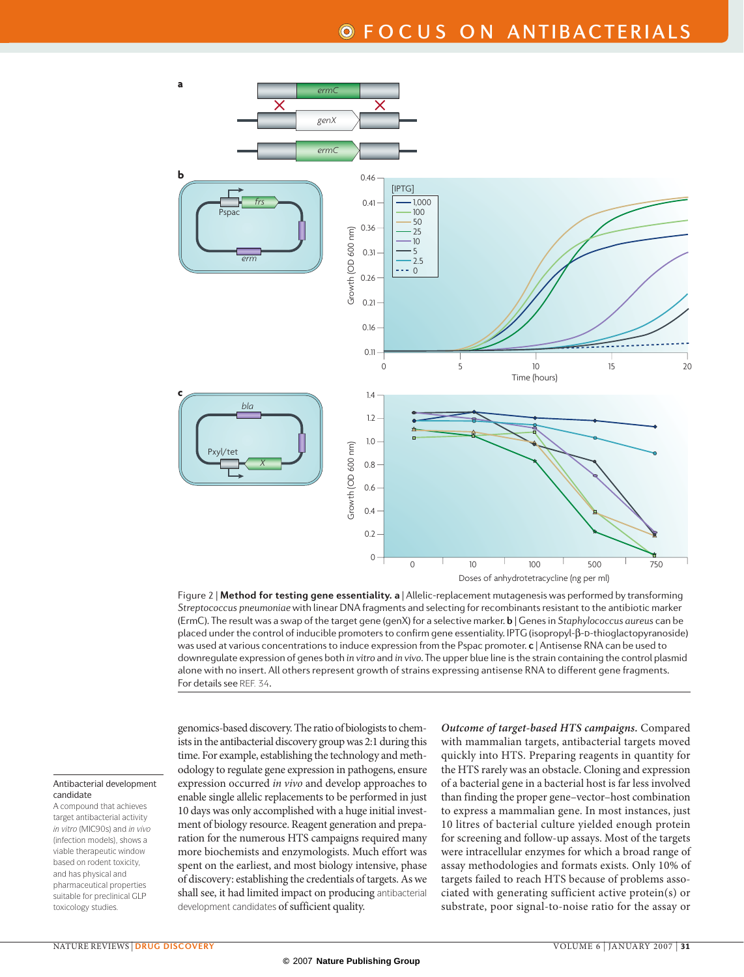### **FOCUS ON ANTIBACTERIALS**



Figure 2 | Method for testing gene essentiality. a | Allelic-replacement mutagenesis was performed by transforming Streptococcus pneumoniae with linear DNA fragments and selecting for recombinants resistant to the antibiotic marker (ErmC). The result was a swap of the target gene (genX) for a selective marker. **b** | Genes in Staphylococcus aureus can be placed under the control of inducible promoters to confirm gene essentiality. IPTG (isopropyl-β-D-thioglactopyranoside) was used at various concentrations to induce expression from the Pspac promoter. **c** | Antisense RNA can be used to downregulate expression of genes both in vitro and in vivo. The upper blue line is the strain containing the control plasmid alone with no insert. All others represent growth of strains expressing antisense RNA to different gene fragments. For details see REF. 34.

### Antibacterial development candidate

A compound that achieves target antibacterial activity *in vitro* (MIC90s) and *in vivo* (infection models), shows a viable therapeutic window based on rodent toxicity, and has physical and pharmaceutical properties suitable for preclinical GLP toxicology studies.

genomics-based discovery. The ratio of biologists to chemists in the antibacterial discovery group was 2:1 during this time. For example, establishing the technology and methodology to regulate gene expression in pathogens, ensure expression occurred *in vivo* and develop approaches to enable single allelic replacements to be performed in just 10 days was only accomplished with a huge initial investment of biology resource. Reagent generation and preparation for the numerous HTS campaigns required many more biochemists and enzymologists. Much effort was spent on the earliest, and most biology intensive, phase of discovery: establishing the credentials of targets. As we shall see, it had limited impact on producing antibacterial development candidates of sufficient quality.

*Outcome of target-based HTS campaigns.* Compared with mammalian targets, antibacterial targets moved quickly into HTS. Preparing reagents in quantity for the HTS rarely was an obstacle. Cloning and expression of a bacterial gene in a bacterial host is far less involved than finding the proper gene–vector–host combination to express a mammalian gene. In most instances, just 10 litres of bacterial culture yielded enough protein for screening and follow-up assays. Most of the targets were intracellular enzymes for which a broad range of assay methodologies and formats exists. Only 10% of targets failed to reach HTS because of problems associated with generating sufficient active protein(s) or substrate, poor signal-to-noise ratio for the assay or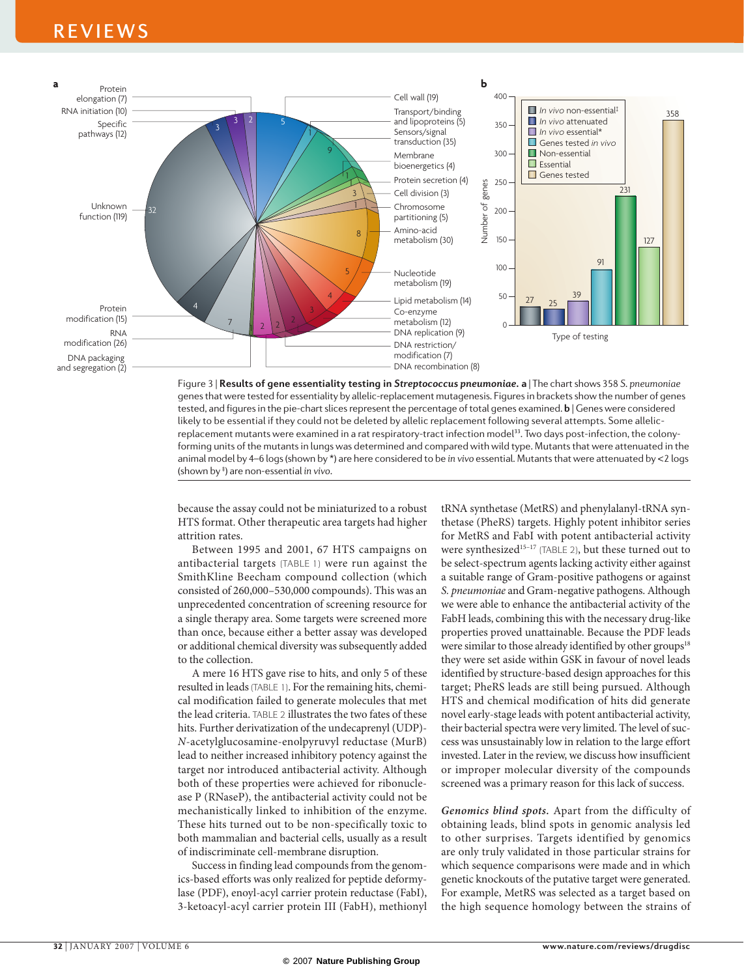### REVIEWS REVIEWS



Figure 3 | **Results of gene essentiality testing in** *Streptococcus pneumoniae***. a** | The chart shows 358 S. pneumoniae genes that were tested for essentiality by allelic-replacement mutagenesis. Figures in brackets show the number of genes tested, and figures in the pie-chart slices represent the percentage of total genes examined. **b** | Genes were considered likely to be essential if they could not be deleted by allelic replacement following several attempts. Some allelicreplacement mutants were examined in a rat respiratory-tract infection model<sup>33</sup>. Two days post-infection, the colonyforming units of the mutants in lungs was determined and compared with wild type. Mutants that were attenuated in the animal model by 4–6 logs (shown by \*) are here considered to be in vivo essential. Mutants that were attenuated by <2 logs (shown by <sup>‡</sup>) are non-essential in vivo.

because the assay could not be miniaturized to a robust HTS format. Other therapeutic area targets had higher attrition rates.

Between 1995 and 2001, 67 HTS campaigns on antibacterial targets (TABLE 1) were run against the SmithKline Beecham compound collection (which consisted of 260,000–530,000 compounds). This was an unprecedented concentration of screening resource for a single therapy area. Some targets were screened more than once, because either a better assay was developed or additional chemical diversity was subsequently added to the collection.

A mere 16 HTS gave rise to hits, and only 5 of these resulted in leads (TABLE 1). For the remaining hits, chemical modification failed to generate molecules that met the lead criteria. TABLE 2 illustrates the two fates of these hits. Further derivatization of the undecaprenyl (UDP)- *N*-acetylglucosamine-enolpyruvyl reductase (MurB) lead to neither increased inhibitory potency against the target nor introduced antibacterial activity. Although both of these properties were achieved for ribonuclease P (RNaseP), the antibacterial activity could not be mechanistically linked to inhibition of the enzyme. These hits turned out to be non-specifically toxic to both mammalian and bacterial cells, usually as a result of indiscriminate cell-membrane disruption.

Success in finding lead compounds from the genomics-based efforts was only realized for peptide deformylase (PDF), enoyl-acyl carrier protein reductase (FabI), 3-ketoacyl-acyl carrier protein III (FabH), methionyl

tRNA synthetase (MetRS) and phenylalanyl-tRNA synthetase (PheRS) targets. Highly potent inhibitor series for MetRS and FabI with potent antibacterial activity were synthesized<sup>15-17</sup> (TABLE 2), but these turned out to be select-spectrum agents lacking activity either against a suitable range of Gram-positive pathogens or against *S. pneumoniae* and Gram-negative pathogens. Although we were able to enhance the antibacterial activity of the FabH leads, combining this with the necessary drug-like properties proved unattainable. Because the PDF leads were similar to those already identified by other groups<sup>18</sup> they were set aside within GSK in favour of novel leads identified by structure-based design approaches for this target; PheRS leads are still being pursued. Although HTS and chemical modification of hits did generate novel early-stage leads with potent antibacterial activity, their bacterial spectra were very limited. The level of success was unsustainably low in relation to the large effort invested. Later in the review, we discuss how insufficient or improper molecular diversity of the compounds screened was a primary reason for this lack of success.

*Genomics blind spots.* Apart from the difficulty of obtaining leads, blind spots in genomic analysis led to other surprises. Targets identified by genomics are only truly validated in those particular strains for which sequence comparisons were made and in which genetic knockouts of the putative target were generated. For example, MetRS was selected as a target based on the high sequence homology between the strains of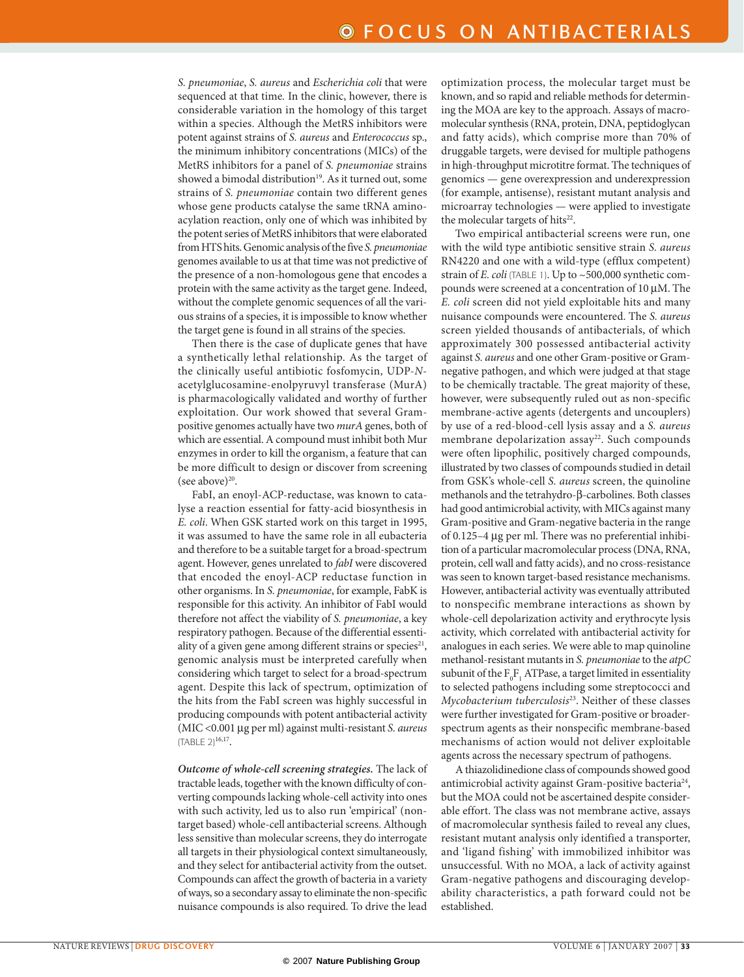*S. pneumoniae*, *S. aureus* and *Escherichia coli* that were sequenced at that time*.* In the clinic, however, there is considerable variation in the homology of this target within a species. Although the MetRS inhibitors were potent against strains of *S. aureus* and *Enterococcus* sp., the minimum inhibitory concentrations (MICs) of the MetRS inhibitors for a panel of *S. pneumoniae* strains showed a bimodal distribution<sup>19</sup>. As it turned out, some strains of *S. pneumoniae* contain two different genes whose gene products catalyse the same tRNA aminoacylation reaction, only one of which was inhibited by the potent series of MetRS inhibitors that were elaborated from HTS hits. Genomic analysis of the five *S. pneumoniae* genomes available to us at that time was not predictive of the presence of a non-homologous gene that encodes a protein with the same activity as the target gene. Indeed, without the complete genomic sequences of all the various strains of a species, it is impossible to know whether the target gene is found in all strains of the species.

Then there is the case of duplicate genes that have a synthetically lethal relationship. As the target of the clinically useful antibiotic fosfomycin, UDP-*N*acetylglucosamine-enolpyruvyl transferase (MurA) is pharmacologically validated and worthy of further exploitation. Our work showed that several Grampositive genomes actually have two *murA* genes, both of which are essential. A compound must inhibit both Mur enzymes in order to kill the organism, a feature that can be more difficult to design or discover from screening (see above) $20$ .

FabI, an enoyl-ACP-reductase, was known to catalyse a reaction essential for fatty-acid biosynthesis in *E. coli*. When GSK started work on this target in 1995, it was assumed to have the same role in all eubacteria and therefore to be a suitable target for a broad-spectrum agent. However, genes unrelated to *fabI* were discovered that encoded the enoyl-ACP reductase function in other organisms. In *S. pneumoniae*, for example, FabK is responsible for this activity. An inhibitor of FabI would therefore not affect the viability of *S. pneumoniae*, a key respiratory pathogen. Because of the differential essentiality of a given gene among different strains or species<sup>21</sup>, genomic analysis must be interpreted carefully when considering which target to select for a broad-spectrum agent. Despite this lack of spectrum, optimization of the hits from the FabI screen was highly successful in producing compounds with potent antibacterial activity (MIC <0.001 μg per ml) against multi-resistant *S. aureus*  $(TABLE 2)^{16,17}$ .

*Outcome of whole-cell screening strategies.* The lack of tractable leads, together with the known difficulty of converting compounds lacking whole-cell activity into ones with such activity, led us to also run 'empirical' (nontarget based) whole-cell antibacterial screens. Although less sensitive than molecular screens, they do interrogate all targets in their physiological context simultaneously, and they select for antibacterial activity from the outset. Compounds can affect the growth of bacteria in a variety of ways, so a secondary assay to eliminate the non-specific nuisance compounds is also required. To drive the lead optimization process, the molecular target must be known, and so rapid and reliable methods for determining the MOA are key to the approach. Assays of macromolecular synthesis (RNA, protein, DNA, peptidoglycan and fatty acids), which comprise more than 70% of druggable targets, were devised for multiple pathogens in high-throughput microtitre format. The techniques of genomics — gene overexpression and underexpression (for example, antisense), resistant mutant analysis and microarray technologies — were applied to investigate the molecular targets of hits<sup>22</sup>.

Two empirical antibacterial screens were run, one with the wild type antibiotic sensitive strain *S. aureus* RN4220 and one with a wild-type (efflux competent) strain of *E. coli* (TABLE 1). Up to ~500,000 synthetic compounds were screened at a concentration of 10 μM. The *E. coli* screen did not yield exploitable hits and many nuisance compounds were encountered. The *S. aureus* screen yielded thousands of antibacterials, of which approximately 300 possessed antibacterial activity against *S. aureus* and one other Gram-positive or Gramnegative pathogen, and which were judged at that stage to be chemically tractable. The great majority of these, however, were subsequently ruled out as non-specific membrane-active agents (detergents and uncouplers) by use of a red-blood-cell lysis assay and a *S. aureus* membrane depolarization assay<sup>22</sup>. Such compounds were often lipophilic, positively charged compounds, illustrated by two classes of compounds studied in detail from GSK's whole-cell *S. aureus* screen, the quinoline methanols and the tetrahydro-β-carbolines. Both classes had good antimicrobial activity, with MICs against many Gram-positive and Gram-negative bacteria in the range of 0.125–4 μg per ml. There was no preferential inhibition of a particular macromolecular process (DNA, RNA, protein, cell wall and fatty acids), and no cross-resistance was seen to known target-based resistance mechanisms. However, antibacterial activity was eventually attributed to nonspecific membrane interactions as shown by whole-cell depolarization activity and erythrocyte lysis activity, which correlated with antibacterial activity for analogues in each series. We were able to map quinoline methanol-resistant mutants in *S. pneumoniae* to the *atpC*  subunit of the  $F_0F_1$  ATPase, a target limited in essentiality to selected pathogens including some streptococci and *Mycobacterium tuberculosis*23. Neither of these classes were further investigated for Gram-positive or broaderspectrum agents as their nonspecific membrane-based mechanisms of action would not deliver exploitable agents across the necessary spectrum of pathogens.

A thiazolidinedione class of compounds showed good antimicrobial activity against Gram-positive bacteria<sup>24</sup>, but the MOA could not be ascertained despite considerable effort. The class was not membrane active, assays of macromolecular synthesis failed to reveal any clues, resistant mutant analysis only identified a transporter, and 'ligand fishing' with immobilized inhibitor was unsuccessful. With no MOA, a lack of activity against Gram-negative pathogens and discouraging developability characteristics, a path forward could not be established.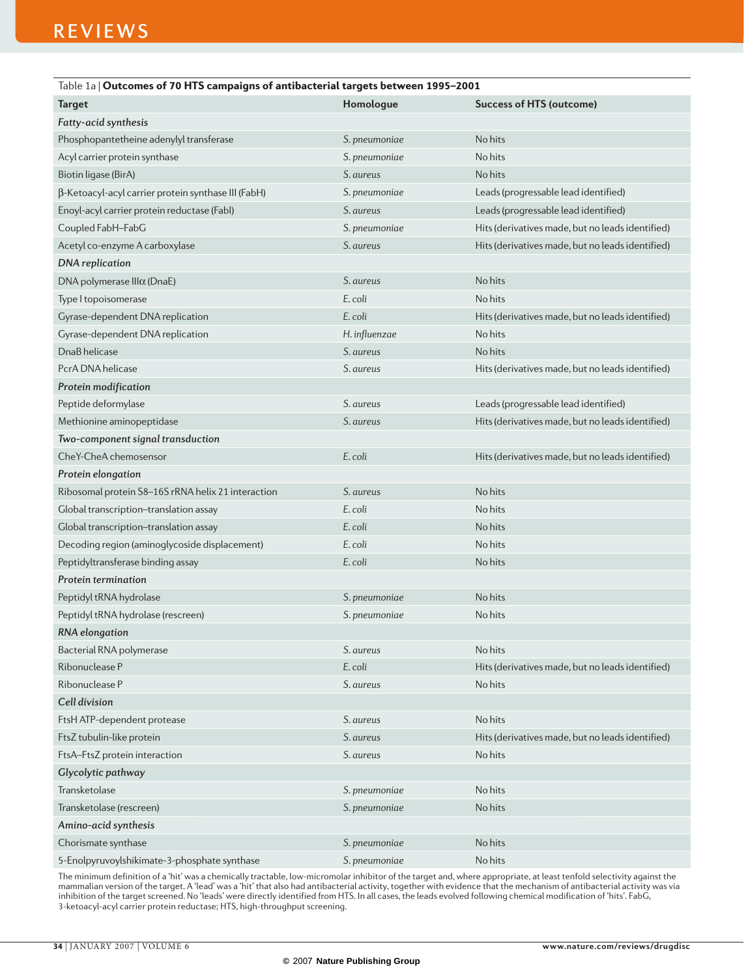### REVIEWS REVIEWS

| Table 1a   Outcomes of 70 HTS campaigns of antibacterial targets between 1995-2001 |               |                                                  |  |  |  |  |  |
|------------------------------------------------------------------------------------|---------------|--------------------------------------------------|--|--|--|--|--|
| <b>Target</b>                                                                      | Homologue     | <b>Success of HTS (outcome)</b>                  |  |  |  |  |  |
| Fatty-acid synthesis                                                               |               |                                                  |  |  |  |  |  |
| Phosphopantetheine adenylyl transferase                                            | S. pneumoniae | No hits                                          |  |  |  |  |  |
| Acyl carrier protein synthase                                                      | S. pneumoniae | No hits                                          |  |  |  |  |  |
| Biotin ligase (BirA)                                                               | S. aureus     | No hits                                          |  |  |  |  |  |
| β-Ketoacyl-acyl carrier protein synthase III (FabH)                                | S. pneumoniae | Leads (progressable lead identified)             |  |  |  |  |  |
| Enoyl-acyl carrier protein reductase (Fabl)                                        | S. aureus     | Leads (progressable lead identified)             |  |  |  |  |  |
| Coupled FabH-FabG                                                                  | S. pneumoniae | Hits (derivatives made, but no leads identified) |  |  |  |  |  |
| Acetyl co-enzyme A carboxylase                                                     | S. aureus     | Hits (derivatives made, but no leads identified) |  |  |  |  |  |
| <b>DNA</b> replication                                                             |               |                                                  |  |  |  |  |  |
| DNA polymerase III $\alpha$ (DnaE)                                                 | S. aureus     | No hits                                          |  |  |  |  |  |
| Type I topoisomerase                                                               | E. coli       | No hits                                          |  |  |  |  |  |
| Gyrase-dependent DNA replication                                                   | E. coli       | Hits (derivatives made, but no leads identified) |  |  |  |  |  |
| Gyrase-dependent DNA replication                                                   | H. influenzae | No hits                                          |  |  |  |  |  |
| DnaB helicase                                                                      | S. aureus     | No hits                                          |  |  |  |  |  |
| PcrA DNA helicase                                                                  | S. aureus     | Hits (derivatives made, but no leads identified) |  |  |  |  |  |
| Protein modification                                                               |               |                                                  |  |  |  |  |  |
| Peptide deformylase                                                                | S. aureus     | Leads (progressable lead identified)             |  |  |  |  |  |
| Methionine aminopeptidase                                                          | S. aureus     | Hits (derivatives made, but no leads identified) |  |  |  |  |  |
| Two-component signal transduction                                                  |               |                                                  |  |  |  |  |  |
| CheY-CheA chemosensor                                                              | E. coli       | Hits (derivatives made, but no leads identified) |  |  |  |  |  |
| Protein elongation                                                                 |               |                                                  |  |  |  |  |  |
| Ribosomal protein S8-16S rRNA helix 21 interaction                                 | S. aureus     | No hits                                          |  |  |  |  |  |
| Global transcription-translation assay                                             | E. coli       | No hits                                          |  |  |  |  |  |
| Global transcription-translation assay                                             | E. coli       | No hits                                          |  |  |  |  |  |
| Decoding region (aminoglycoside displacement)                                      | E. coli       | No hits                                          |  |  |  |  |  |
| Peptidyltransferase binding assay                                                  | E. coli       | No hits                                          |  |  |  |  |  |
| <b>Protein termination</b>                                                         |               |                                                  |  |  |  |  |  |
| Peptidyl tRNA hydrolase                                                            | S. pneumoniae | No hits                                          |  |  |  |  |  |
| Peptidyl tRNA hydrolase (rescreen)                                                 | S. pneumoniae | No hits                                          |  |  |  |  |  |
| RNA elongation                                                                     |               |                                                  |  |  |  |  |  |
| Bacterial RNA polymerase                                                           | S. aureus     | No hits                                          |  |  |  |  |  |
| Ribonuclease P                                                                     | E. coli       | Hits (derivatives made, but no leads identified) |  |  |  |  |  |
| Ribonuclease P                                                                     | S. aureus     | No hits                                          |  |  |  |  |  |
| Cell division                                                                      |               |                                                  |  |  |  |  |  |
| FtsH ATP-dependent protease                                                        | S. aureus     | No hits                                          |  |  |  |  |  |
| FtsZ tubulin-like protein                                                          | S. aureus     | Hits (derivatives made, but no leads identified) |  |  |  |  |  |
| FtsA-FtsZ protein interaction                                                      | S. aureus     | No hits                                          |  |  |  |  |  |
| Glycolytic pathway                                                                 |               |                                                  |  |  |  |  |  |
| Transketolase                                                                      | S. pneumoniae | No hits                                          |  |  |  |  |  |
| Transketolase (rescreen)                                                           | S. pneumoniae | No hits                                          |  |  |  |  |  |
| Amino-acid synthesis                                                               |               |                                                  |  |  |  |  |  |
| Chorismate synthase                                                                | S. pneumoniae | No hits                                          |  |  |  |  |  |
| 5-Enolpyruvoylshikimate-3-phosphate synthase                                       | S. pneumoniae | No hits                                          |  |  |  |  |  |

The minimum definition of a 'hit' was a chemically tractable, low-micromolar inhibitor of the target and, where appropriate, at least tenfold selectivity against the mammalian version of the target. A 'lead' was a 'hit' that also had antibacterial activity, together with evidence that the mechanism of antibacterial activity was via inhibition of the target screened. No 'leads' were directly identified from HTS. In all cases, the leads evolved following chemical modification of 'hits'. FabG, 3-ketoacyl-acyl carrier protein reductase; HTS, high-throughput screening.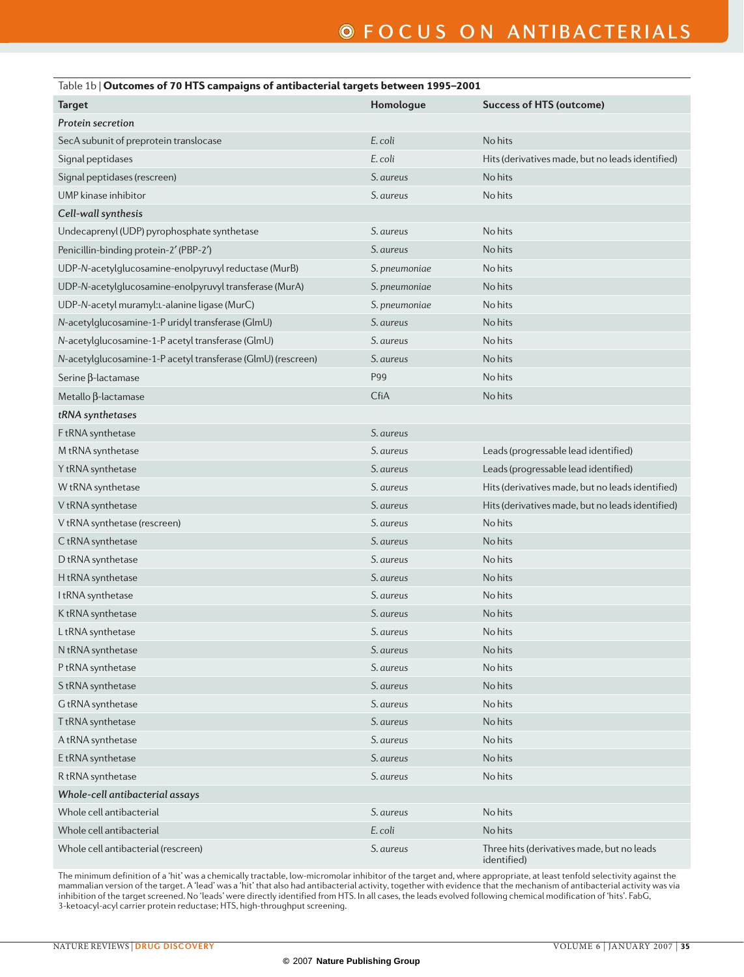| Table 1b   Outcomes of 70 HTS campaigns of antibacterial targets between 1995-2001 |               |                                                           |  |  |  |  |  |
|------------------------------------------------------------------------------------|---------------|-----------------------------------------------------------|--|--|--|--|--|
| <b>Target</b>                                                                      | Homologue     | <b>Success of HTS (outcome)</b>                           |  |  |  |  |  |
| Protein secretion                                                                  |               |                                                           |  |  |  |  |  |
| SecA subunit of preprotein translocase                                             | E. coli       | No hits                                                   |  |  |  |  |  |
| Signal peptidases                                                                  | E. coli       | Hits (derivatives made, but no leads identified)          |  |  |  |  |  |
| Signal peptidases (rescreen)                                                       | S. aureus     | No hits                                                   |  |  |  |  |  |
| UMP kinase inhibitor                                                               | S. aureus     | No hits                                                   |  |  |  |  |  |
| Cell-wall synthesis                                                                |               |                                                           |  |  |  |  |  |
| Undecaprenyl (UDP) pyrophosphate synthetase                                        | S. aureus     | No hits                                                   |  |  |  |  |  |
| Penicillin-binding protein-2' (PBP-2')                                             | S. aureus     | No hits                                                   |  |  |  |  |  |
| UDP-N-acetylglucosamine-enolpyruvyl reductase (MurB)                               | S. pneumoniae | No hits                                                   |  |  |  |  |  |
| UDP-N-acetylglucosamine-enolpyruvyl transferase (MurA)                             | S. pneumoniae | No hits                                                   |  |  |  |  |  |
| UDP-N-acetyl muramyl:L-alanine ligase (MurC)                                       | S. pneumoniae | No hits                                                   |  |  |  |  |  |
| N-acetylglucosamine-1-P uridyl transferase (GlmU)                                  | S. aureus     | No hits                                                   |  |  |  |  |  |
| N-acetylglucosamine-1-P acetyl transferase (GlmU)                                  | S. aureus     | No hits                                                   |  |  |  |  |  |
| N-acetylglucosamine-1-P acetyl transferase (GlmU) (rescreen)                       | S. aureus     | No hits                                                   |  |  |  |  |  |
| Serine $\beta$ -lactamase                                                          | P99           | No hits                                                   |  |  |  |  |  |
| Metallo $\beta$ -lactamase                                                         | CfiA          | No hits                                                   |  |  |  |  |  |
| tRNA synthetases                                                                   |               |                                                           |  |  |  |  |  |
| F tRNA synthetase                                                                  | S. aureus     |                                                           |  |  |  |  |  |
| M tRNA synthetase                                                                  | S. aureus     | Leads (progressable lead identified)                      |  |  |  |  |  |
| Y tRNA synthetase                                                                  | S. aureus     | Leads (progressable lead identified)                      |  |  |  |  |  |
| W tRNA synthetase                                                                  | S. aureus     | Hits (derivatives made, but no leads identified)          |  |  |  |  |  |
| V tRNA synthetase                                                                  | S. aureus     | Hits (derivatives made, but no leads identified)          |  |  |  |  |  |
| VtRNA synthetase (rescreen)                                                        | S. aureus     | No hits                                                   |  |  |  |  |  |
| C tRNA synthetase                                                                  | S. aureus     | No hits                                                   |  |  |  |  |  |
| D tRNA synthetase                                                                  | S. aureus     | No hits                                                   |  |  |  |  |  |
| H tRNA synthetase                                                                  | S. aureus     | No hits                                                   |  |  |  |  |  |
| I tRNA synthetase                                                                  | S. aureus     | No hits                                                   |  |  |  |  |  |
| K tRNA synthetase                                                                  | S. aureus     | No hits                                                   |  |  |  |  |  |
| LtRNA synthetase                                                                   | S. aureus     | No hits                                                   |  |  |  |  |  |
| N tRNA synthetase                                                                  | S. aureus     | No hits                                                   |  |  |  |  |  |
| PtRNA synthetase                                                                   | S. aureus     | No hits                                                   |  |  |  |  |  |
| StRNA synthetase                                                                   | S. aureus     | No hits                                                   |  |  |  |  |  |
| G tRNA synthetase                                                                  | S. aureus     | No hits                                                   |  |  |  |  |  |
| T tRNA synthetase                                                                  | S. aureus     | No hits                                                   |  |  |  |  |  |
| A tRNA synthetase                                                                  | S. aureus     | No hits                                                   |  |  |  |  |  |
| E tRNA synthetase                                                                  | S. aureus     | No hits                                                   |  |  |  |  |  |
| R tRNA synthetase                                                                  | S. aureus     | No hits                                                   |  |  |  |  |  |
| Whole-cell antibacterial assays                                                    |               |                                                           |  |  |  |  |  |
| Whole cell antibacterial                                                           | S. aureus     | No hits                                                   |  |  |  |  |  |
| Whole cell antibacterial                                                           | E. coli       | No hits                                                   |  |  |  |  |  |
| Whole cell antibacterial (rescreen)                                                | S. aureus     | Three hits (derivatives made, but no leads<br>identified) |  |  |  |  |  |

The minimum definition of a 'hit' was a chemically tractable, low-micromolar inhibitor of the target and, where appropriate, at least tenfold selectivity against the mammalian version of the target. A 'lead' was a 'hit' that also had antibacterial activity, together with evidence that the mechanism of antibacterial activity was via inhibition of the target screened. No 'leads' were directly identified from HTS. In all cases, the leads evolved following chemical modification of 'hits'. FabG, 3-ketoacyl-acyl carrier protein reductase; HTS, high-throughput screening.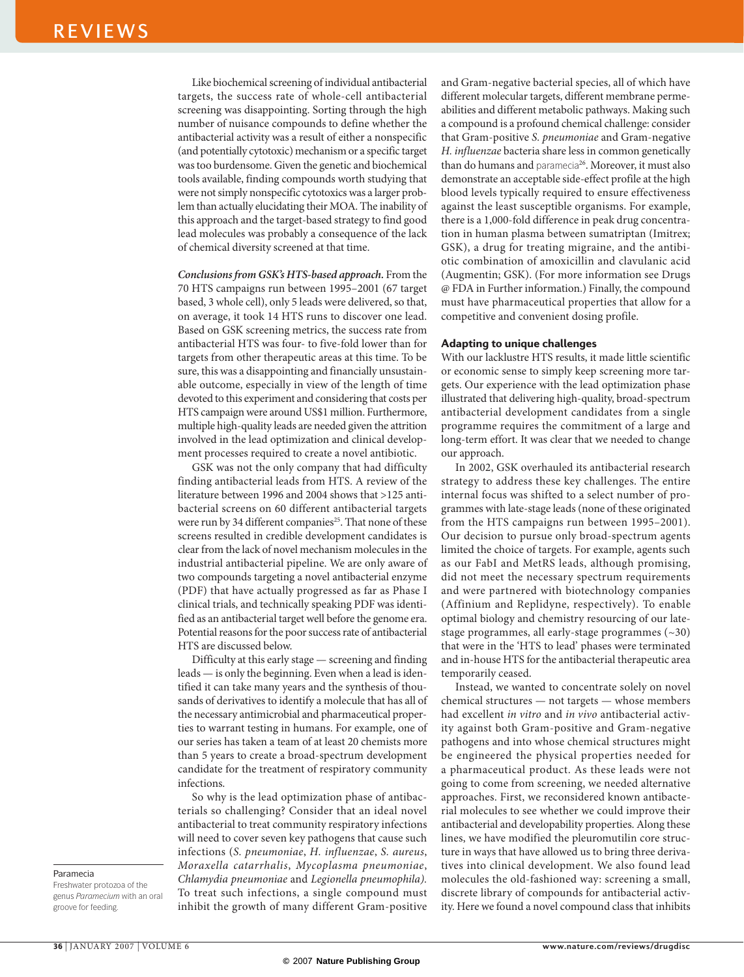Like biochemical screening of individual antibacterial targets, the success rate of whole-cell antibacterial screening was disappointing. Sorting through the high number of nuisance compounds to define whether the antibacterial activity was a result of either a nonspecific (and potentially cytotoxic) mechanism or a specific target was too burdensome. Given the genetic and biochemical tools available, finding compounds worth studying that were not simply nonspecific cytotoxics was a larger problem than actually elucidating their MOA. The inability of this approach and the target-based strategy to find good lead molecules was probably a consequence of the lack of chemical diversity screened at that time.

### *Conclusions from GSK's HTS-based approach.* From the 70 HTS campaigns run between 1995–2001 (67 target

based, 3 whole cell), only 5 leads were delivered, so that, on average, it took 14 HTS runs to discover one lead. Based on GSK screening metrics, the success rate from antibacterial HTS was four- to five-fold lower than for targets from other therapeutic areas at this time. To be sure, this was a disappointing and financially unsustainable outcome, especially in view of the length of time devoted to this experiment and considering that costs per HTS campaign were around US\$1 million. Furthermore, multiple high-quality leads are needed given the attrition involved in the lead optimization and clinical development processes required to create a novel antibiotic.

GSK was not the only company that had difficulty finding antibacterial leads from HTS. A review of the literature between 1996 and 2004 shows that >125 antibacterial screens on 60 different antibacterial targets were run by 34 different companies<sup>25</sup>. That none of these screens resulted in credible development candidates is clear from the lack of novel mechanism molecules in the industrial antibacterial pipeline. We are only aware of two compounds targeting a novel antibacterial enzyme (PDF) that have actually progressed as far as Phase I clinical trials, and technically speaking PDF was identified as an antibacterial target well before the genome era. Potential reasons for the poor success rate of antibacterial HTS are discussed below.

Difficulty at this early stage — screening and finding leads — is only the beginning. Even when a lead is identified it can take many years and the synthesis of thousands of derivatives to identify a molecule that has all of the necessary antimicrobial and pharmaceutical properties to warrant testing in humans. For example, one of our series has taken a team of at least 20 chemists more than 5 years to create a broad-spectrum development candidate for the treatment of respiratory community infections.

So why is the lead optimization phase of antibacterials so challenging? Consider that an ideal novel antibacterial to treat community respiratory infections will need to cover seven key pathogens that cause such infections (*S. pneumoniae*, *H. influenzae*, *S. aureus*, *Moraxella catarrhalis*, *Mycoplasma pneumoniae*, *Chlamydia pneumoniae* and *Legionella pneumophila).*  To treat such infections, a single compound must inhibit the growth of many different Gram-positive and Gram-negative bacterial species, all of which have different molecular targets, different membrane permeabilities and different metabolic pathways. Making such a compound is a profound chemical challenge: consider that Gram-positive *S. pneumoniae* and Gram-negative *H. influenzae* bacteria share less in common genetically than do humans and paramecia<sup>26</sup>. Moreover, it must also demonstrate an acceptable side-effect profile at the high blood levels typically required to ensure effectiveness against the least susceptible organisms. For example, there is a 1,000-fold difference in peak drug concentration in human plasma between sumatriptan (Imitrex; GSK), a drug for treating migraine, and the antibiotic combination of amoxicillin and clavulanic acid (Augmentin; GSK). (For more information see Drugs @ FDA in Further information.) Finally, the compound must have pharmaceutical properties that allow for a competitive and convenient dosing profile.

### Adapting to unique challenges

With our lacklustre HTS results, it made little scientific or economic sense to simply keep screening more targets. Our experience with the lead optimization phase illustrated that delivering high-quality, broad-spectrum antibacterial development candidates from a single programme requires the commitment of a large and long-term effort. It was clear that we needed to change our approach.

In 2002, GSK overhauled its antibacterial research strategy to address these key challenges. The entire internal focus was shifted to a select number of programmes with late-stage leads (none of these originated from the HTS campaigns run between 1995–2001). Our decision to pursue only broad-spectrum agents limited the choice of targets. For example, agents such as our FabI and MetRS leads, although promising, did not meet the necessary spectrum requirements and were partnered with biotechnology companies (Affinium and Replidyne, respectively). To enable optimal biology and chemistry resourcing of our latestage programmes, all early-stage programmes (~30) that were in the 'HTS to lead' phases were terminated and in-house HTS for the antibacterial therapeutic area temporarily ceased.

Instead, we wanted to concentrate solely on novel chemical structures — not targets — whose members had excellent *in vitro* and *in vivo* antibacterial activity against both Gram-positive and Gram-negative pathogens and into whose chemical structures might be engineered the physical properties needed for a pharmaceutical product. As these leads were not going to come from screening, we needed alternative approaches. First, we reconsidered known antibacterial molecules to see whether we could improve their antibacterial and developability properties. Along these lines, we have modified the pleuromutilin core structure in ways that have allowed us to bring three derivatives into clinical development. We also found lead molecules the old-fashioned way: screening a small, discrete library of compounds for antibacterial activity. Here we found a novel compound class that inhibits

#### Paramecia

Freshwater protozoa of the genus *Paramecium* with an oral groove for feeding.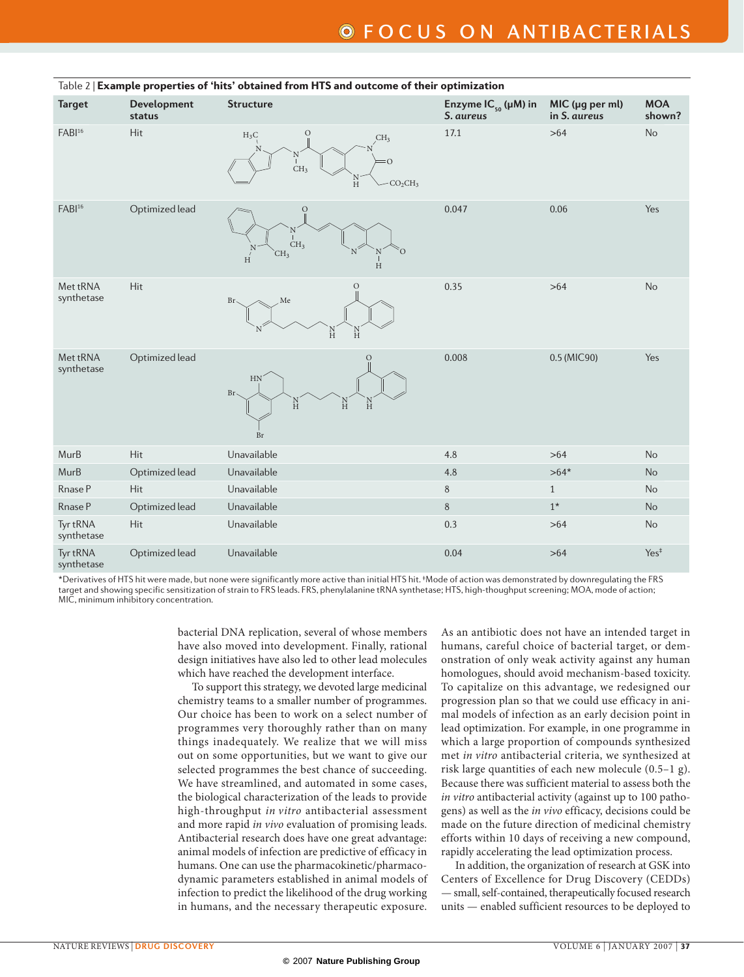### **FOCUS ON ANTIBACTERIALS**

| Table Z   <b>Example properties of 'nits' obtained from HTS and outcome of their optimization</b> |                                                                                                                                             |                                           |                                 |                      |  |  |  |
|---------------------------------------------------------------------------------------------------|---------------------------------------------------------------------------------------------------------------------------------------------|-------------------------------------------|---------------------------------|----------------------|--|--|--|
| <b>Development</b><br>status                                                                      | <b>Structure</b>                                                                                                                            | Enzyme $IC_{50}$ ( $µM$ ) in<br>S. aureus | MIC (µg per ml)<br>in S. aureus | <b>MOA</b><br>shown? |  |  |  |
| Hit                                                                                               | $\circ$<br>$H_3C$<br>CH <sub>3</sub><br>N<br>$\circ$<br>$\perp$<br>CH <sub>3</sub><br>$_{\rm H}^{\rm N}$<br>CO <sub>2</sub> CH <sub>3</sub> | 17.1                                      | $>64$                           | No                   |  |  |  |
| Optimized lead                                                                                    | $\circ$<br>$\frac{N}{I}$<br>CH <sub>3</sub><br>$\Omega$<br>Ν<br>CH <sub>3</sub><br>$\mathbf{I}$<br>H<br>H                                   | 0.047                                     | 0.06                            | Yes                  |  |  |  |
| Hit                                                                                               | $\circ$<br>Me<br>Br<br>N<br>H<br>N<br>H                                                                                                     | 0.35                                      | $>64$                           | No                   |  |  |  |
| Optimized lead                                                                                    | Ο<br>$\operatorname{HN}$<br>Br.<br>H<br>N<br>H<br>N<br>H<br>Br                                                                              | 0.008                                     | 0.5 (MIC90)                     | Yes                  |  |  |  |
| Hit                                                                                               | Unavailable                                                                                                                                 | 4.8                                       | $>64$                           | <b>No</b>            |  |  |  |
| Optimized lead                                                                                    | Unavailable                                                                                                                                 | 4.8                                       | $>64*$                          | No                   |  |  |  |
| Hit                                                                                               | Unavailable                                                                                                                                 | $\,8\,$                                   | $\,1\,$                         | No                   |  |  |  |
| Optimized lead                                                                                    | Unavailable                                                                                                                                 | $\,8\,$                                   | $1^{\star}$                     | No                   |  |  |  |
| Hit                                                                                               | Unavailable                                                                                                                                 | 0.3                                       | $>64$                           | No                   |  |  |  |
| Optimized lead                                                                                    | Unavailable                                                                                                                                 | 0.04                                      | $>64$                           | Yes <sup>#</sup>     |  |  |  |
|                                                                                                   |                                                                                                                                             |                                           |                                 |                      |  |  |  |

### Table 2 | Example properties of 'hits' obtained from HTS and outcome of their optimization

\*Derivatives of HTS hit were made, but none were significantly more active than initial HTS hit. ‡ Mode of action was demonstrated by downregulating the FRS target and showing specific sensitization of strain to FRS leads. FRS, phenylalanine tRNA synthetase; HTS, high-thoughput screening; MOA, mode of action; MIC, minimum inhibitory concentration.

> bacterial DNA replication, several of whose members have also moved into development. Finally, rational design initiatives have also led to other lead molecules which have reached the development interface.

To support this strategy, we devoted large medicinal chemistry teams to a smaller number of programmes. Our choice has been to work on a select number of programmes very thoroughly rather than on many things inadequately. We realize that we will miss out on some opportunities, but we want to give our selected programmes the best chance of succeeding. We have streamlined, and automated in some cases, the biological characterization of the leads to provide high-throughput *in vitro* antibacterial assessment and more rapid *in vivo* evaluation of promising leads. Antibacterial research does have one great advantage: animal models of infection are predictive of efficacy in humans. One can use the pharmacokinetic/pharmacodynamic parameters established in animal models of infection to predict the likelihood of the drug working in humans, and the necessary therapeutic exposure. As an antibiotic does not have an intended target in humans, careful choice of bacterial target, or demonstration of only weak activity against any human homologues, should avoid mechanism-based toxicity. To capitalize on this advantage, we redesigned our progression plan so that we could use efficacy in animal models of infection as an early decision point in lead optimization. For example, in one programme in which a large proportion of compounds synthesized met *in vitro* antibacterial criteria, we synthesized at risk large quantities of each new molecule (0.5–1 g). Because there was sufficient material to assess both the *in vitro* antibacterial activity (against up to 100 pathogens) as well as the *in vivo* efficacy, decisions could be made on the future direction of medicinal chemistry efforts within 10 days of receiving a new compound, rapidly accelerating the lead optimization process.

In addition, the organization of research at GSK into Centers of Excellence for Drug Discovery (CEDDs) — small, self-contained, therapeutically focused research units — enabled sufficient resources to be deployed to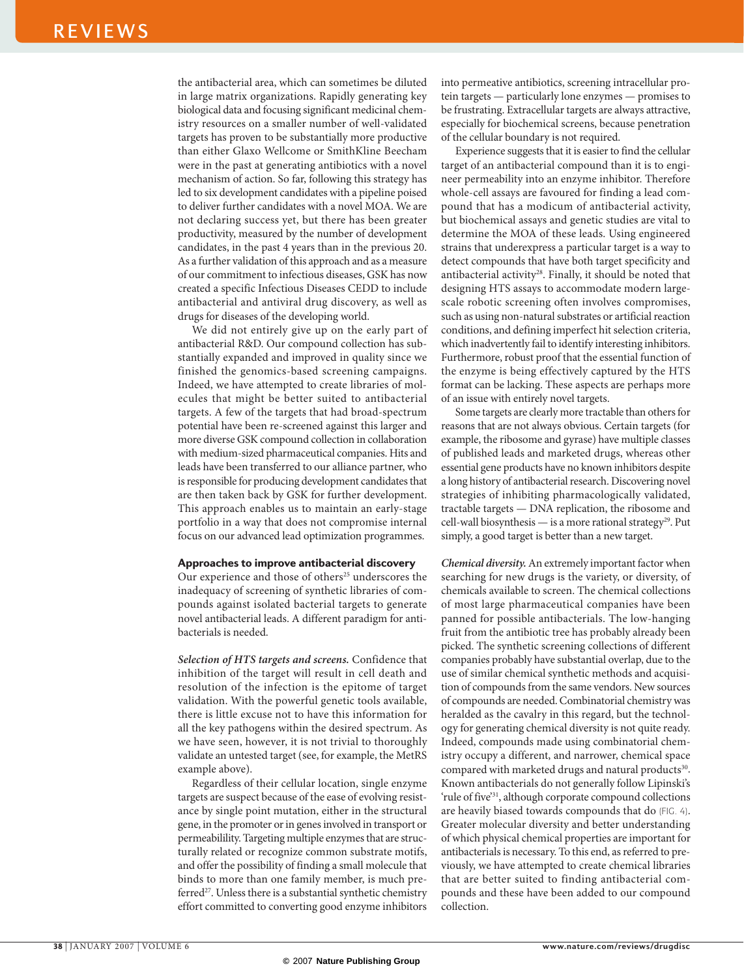the antibacterial area, which can sometimes be diluted in large matrix organizations. Rapidly generating key biological data and focusing significant medicinal chemistry resources on a smaller number of well-validated targets has proven to be substantially more productive than either Glaxo Wellcome or SmithKline Beecham were in the past at generating antibiotics with a novel mechanism of action. So far, following this strategy has led to six development candidates with a pipeline poised to deliver further candidates with a novel MOA. We are not declaring success yet, but there has been greater productivity, measured by the number of development candidates, in the past 4 years than in the previous 20. As a further validation of this approach and as a measure of our commitment to infectious diseases, GSK has now created a specific Infectious Diseases CEDD to include antibacterial and antiviral drug discovery, as well as drugs for diseases of the developing world.

We did not entirely give up on the early part of antibacterial R&D. Our compound collection has substantially expanded and improved in quality since we finished the genomics-based screening campaigns. Indeed, we have attempted to create libraries of molecules that might be better suited to antibacterial targets. A few of the targets that had broad-spectrum potential have been re-screened against this larger and more diverse GSK compound collection in collaboration with medium-sized pharmaceutical companies. Hits and leads have been transferred to our alliance partner, who is responsible for producing development candidates that are then taken back by GSK for further development. This approach enables us to maintain an early-stage portfolio in a way that does not compromise internal focus on our advanced lead optimization programmes.

### Approaches to improve antibacterial discovery

Our experience and those of others<sup>25</sup> underscores the inadequacy of screening of synthetic libraries of compounds against isolated bacterial targets to generate novel antibacterial leads. A different paradigm for antibacterials is needed.

*Selection of HTS targets and screens.* Confidence that inhibition of the target will result in cell death and resolution of the infection is the epitome of target validation. With the powerful genetic tools available, there is little excuse not to have this information for all the key pathogens within the desired spectrum. As we have seen, however, it is not trivial to thoroughly validate an untested target (see, for example, the MetRS example above).

Regardless of their cellular location, single enzyme targets are suspect because of the ease of evolving resistance by single point mutation, either in the structural gene, in the promoter or in genes involved in transport or permeabilility. Targeting multiple enzymes that are structurally related or recognize common substrate motifs, and offer the possibility of finding a small molecule that binds to more than one family member, is much preferred<sup>27</sup>. Unless there is a substantial synthetic chemistry effort committed to converting good enzyme inhibitors

into permeative antibiotics, screening intracellular protein targets — particularly lone enzymes — promises to be frustrating. Extracellular targets are always attractive, especially for biochemical screens, because penetration of the cellular boundary is not required.

Experience suggests that it is easier to find the cellular target of an antibacterial compound than it is to engineer permeability into an enzyme inhibitor. Therefore whole-cell assays are favoured for finding a lead compound that has a modicum of antibacterial activity, but biochemical assays and genetic studies are vital to determine the MOA of these leads. Using engineered strains that underexpress a particular target is a way to detect compounds that have both target specificity and antibacterial activity<sup>28</sup>. Finally, it should be noted that designing HTS assays to accommodate modern largescale robotic screening often involves compromises, such as using non-natural substrates or artificial reaction conditions, and defining imperfect hit selection criteria, which inadvertently fail to identify interesting inhibitors. Furthermore, robust proof that the essential function of the enzyme is being effectively captured by the HTS format can be lacking. These aspects are perhaps more of an issue with entirely novel targets.

Some targets are clearly more tractable than others for reasons that are not always obvious. Certain targets (for example, the ribosome and gyrase) have multiple classes of published leads and marketed drugs, whereas other essential gene products have no known inhibitors despite a long history of antibacterial research. Discovering novel strategies of inhibiting pharmacologically validated, tractable targets — DNA replication, the ribosome and cell-wall biosynthesis  $-$  is a more rational strategy<sup>29</sup>. Put simply, a good target is better than a new target.

*Chemical diversity.* An extremely important factor when searching for new drugs is the variety, or diversity, of chemicals available to screen. The chemical collections of most large pharmaceutical companies have been panned for possible antibacterials. The low-hanging fruit from the antibiotic tree has probably already been picked. The synthetic screening collections of different companies probably have substantial overlap, due to the use of similar chemical synthetic methods and acquisition of compounds from the same vendors. New sources of compounds are needed. Combinatorial chemistry was heralded as the cavalry in this regard, but the technology for generating chemical diversity is not quite ready. Indeed, compounds made using combinatorial chemistry occupy a different, and narrower, chemical space compared with marketed drugs and natural products<sup>30</sup>. Known antibacterials do not generally follow Lipinski's 'rule of five'31, although corporate compound collections are heavily biased towards compounds that do (FIG. 4). Greater molecular diversity and better understanding of which physical chemical properties are important for antibacterials is necessary. To this end, as referred to previously, we have attempted to create chemical libraries that are better suited to finding antibacterial compounds and these have been added to our compound collection.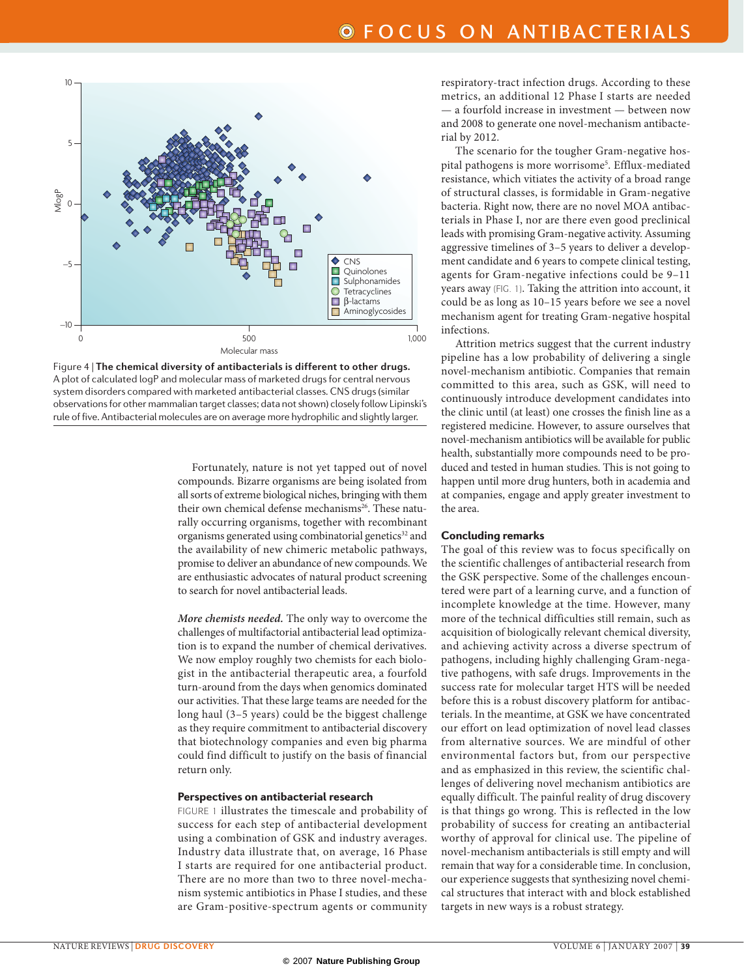

Figure 4 | **The chemical diversity of antibacterials is different to other drugs.**  A plot of calculated logP and molecular mass of marketed drugs for central nervous system disorders compared with marketed antibacterial classes. CNS drugs (similar observations for other mammalian target classes; data not shown) closely follow Lipinski's rule of five. Antibacterial molecules are on average more hydrophilic and slightly larger.

Fortunately, nature is not yet tapped out of novel compounds. Bizarre organisms are being isolated from all sorts of extreme biological niches, bringing with them their own chemical defense mechanisms<sup>26</sup>. These naturally occurring organisms, together with recombinant organisms generated using combinatorial genetics<sup>32</sup> and the availability of new chimeric metabolic pathways, promise to deliver an abundance of new compounds. We are enthusiastic advocates of natural product screening to search for novel antibacterial leads.

*More chemists needed.* The only way to overcome the challenges of multifactorial antibacterial lead optimization is to expand the number of chemical derivatives. We now employ roughly two chemists for each biologist in the antibacterial therapeutic area, a fourfold turn-around from the days when genomics dominated our activities. That these large teams are needed for the long haul (3–5 years) could be the biggest challenge as they require commitment to antibacterial discovery that biotechnology companies and even big pharma could find difficult to justify on the basis of financial return only.

### Perspectives on antibacterial research

FIGURE 1 illustrates the timescale and probability of success for each step of antibacterial development using a combination of GSK and industry averages. Industry data illustrate that, on average, 16 Phase I starts are required for one antibacterial product. There are no more than two to three novel-mechanism systemic antibiotics in Phase I studies, and these are Gram-positive-spectrum agents or community respiratory-tract infection drugs. According to these metrics, an additional 12 Phase I starts are needed — a fourfold increase in investment — between now and 2008 to generate one novel-mechanism antibacterial by 2012.

The scenario for the tougher Gram-negative hospital pathogens is more worrisome<sup>5</sup>. Efflux-mediated resistance, which vitiates the activity of a broad range of structural classes, is formidable in Gram-negative bacteria. Right now, there are no novel MOA antibacterials in Phase I, nor are there even good preclinical leads with promising Gram-negative activity. Assuming aggressive timelines of 3–5 years to deliver a development candidate and 6 years to compete clinical testing, agents for Gram-negative infections could be 9–11 years away (FIG. 1). Taking the attrition into account, it could be as long as 10–15 years before we see a novel mechanism agent for treating Gram-negative hospital infections.

Attrition metrics suggest that the current industry pipeline has a low probability of delivering a single novel-mechanism antibiotic. Companies that remain committed to this area, such as GSK, will need to continuously introduce development candidates into the clinic until (at least) one crosses the finish line as a registered medicine. However, to assure ourselves that novel-mechanism antibiotics will be available for public health, substantially more compounds need to be produced and tested in human studies. This is not going to happen until more drug hunters, both in academia and at companies, engage and apply greater investment to the area.

### Concluding remarks

The goal of this review was to focus specifically on the scientific challenges of antibacterial research from the GSK perspective. Some of the challenges encountered were part of a learning curve, and a function of incomplete knowledge at the time. However, many more of the technical difficulties still remain, such as acquisition of biologically relevant chemical diversity, and achieving activity across a diverse spectrum of pathogens, including highly challenging Gram-negative pathogens, with safe drugs. Improvements in the success rate for molecular target HTS will be needed before this is a robust discovery platform for antibacterials. In the meantime, at GSK we have concentrated our effort on lead optimization of novel lead classes from alternative sources. We are mindful of other environmental factors but, from our perspective and as emphasized in this review, the scientific challenges of delivering novel mechanism antibiotics are equally difficult. The painful reality of drug discovery is that things go wrong. This is reflected in the low probability of success for creating an antibacterial worthy of approval for clinical use. The pipeline of novel-mechanism antibacterials is still empty and will remain that way for a considerable time. In conclusion, our experience suggests that synthesizing novel chemical structures that interact with and block established targets in new ways is a robust strategy.